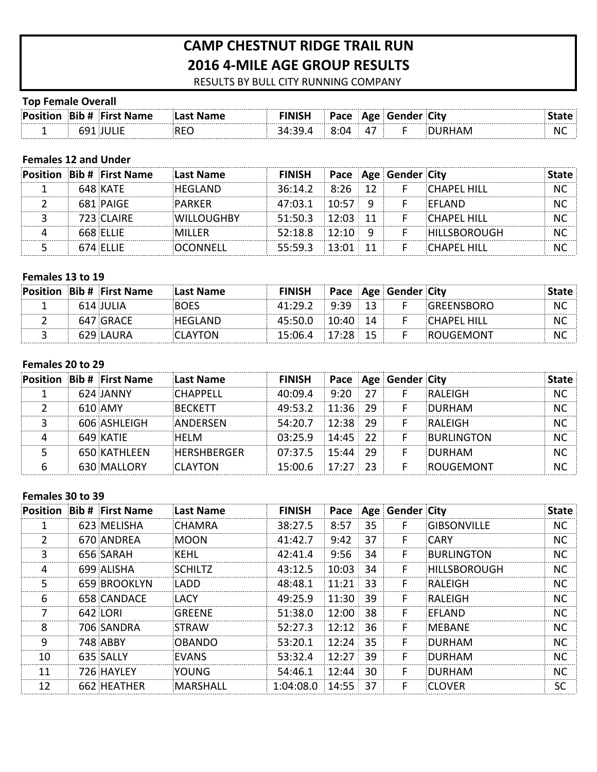# **CAMP CHESTNUT RIDGE TRAIL RUN 2016 4-MILE AGE GROUP RESULTS**

RESULTS BY BULL CITY RUNNING COMPANY

### **Top Female Overall**

| Position | <b>Bib # First Name</b> |               | <b>FINISH</b> | Pace |    | <b>Age Gender City</b> |                |
|----------|-------------------------|---------------|---------------|------|----|------------------------|----------------|
|          |                         | REC<br>$\sim$ |               | ו⊿ו  | 47 |                        | N <sub>C</sub> |

# **Females 12 and Under**

|  | <b>Position Bib # First Name</b> | Last Name         | <b>FINISH</b> Pace Age Gender City |  |    |                                   |    |
|--|----------------------------------|-------------------|------------------------------------|--|----|-----------------------------------|----|
|  | 648 KATF                         | <b>HEGLAND</b>    |                                    |  |    | $36:14.2$ $8:26$ 12 F CHAPFL HILL | NC |
|  | 681 PAIGF                        | PARKFR            | $47:03.1$ $10:57$ 9                |  |    | <b>FFIAND</b>                     | N0 |
|  | 723 CLAIRF                       | <b>WILLOUGHBY</b> | $51:50.3$ 12:03 11                 |  | -F | <b>CHAPFL HILL</b>                | NC |
|  | $668$ FITIF                      | MILLER            | $52:18.8$ $12:10$ 9                |  |    | <b>HILLSBOROUGH</b>               | NC |
|  | 674 FLLIF                        | OCONNELL          | $55:59.3$ 13:01 11                 |  |    | CHAPFI HILL                       |    |

### **Females 13 to 19**

|  | <b>Position Bib # First Name</b> | Last Name | <b>FINISH</b>       |  | Pace   Age   Gender City |                   |           |
|--|----------------------------------|-----------|---------------------|--|--------------------------|-------------------|-----------|
|  | -614 IULIA                       | ROES      | $41.29.2$ $9.39$ 13 |  | <b>F</b>                 | <b>GREENSBORO</b> | NC.       |
|  | 647 GRACF                        | HFGLAND   | $45:50.0$ 10:40 14  |  |                          | CHAPEL HILL       | NС        |
|  | 629 LAURA                        | CLAYTON   | $15:06.4$ 17:28 15  |  |                          | ROUGEMONT         | <b>NC</b> |

### Females 20 to 29

|  | <b>Position Bib # First Name</b> | Last Name          | <b>FINISH</b>          |                | Pace   Age   Gender   City |                   |  |
|--|----------------------------------|--------------------|------------------------|----------------|----------------------------|-------------------|--|
|  | 624 JANNY                        | CHAPPFII           | 40:09.4                | $9.20 \div 27$ | F                          | RAI FIGH          |  |
|  | 610 AMY                          | <b>RECKETT</b>     | 49:53.2 11:36 29       |                |                            | DURHAM            |  |
|  | 606 ASHLEIGH                     | ANDERSEN           | 54:20.7 12:38 29       |                |                            | RAI FIGH          |  |
|  | 649 KATIF                        | HFI M              | $03:25.9$ 14:45 22     |                |                            | <b>BURLINGTON</b> |  |
|  | 650 KATHLFFN                     | <b>HERSHRERGER</b> | $07:37.5$ 15:44 29     |                |                            | DURHAM            |  |
|  | 630 MALLORY                      | <b>CLAYTON</b>     | $15:00.6$ $17:27$ $23$ |                |                            | <b>ROUGEMONT</b>  |  |

### Females 30 to 39

|    | <b>Position Bib # First Name</b> | Last Name      | <b>FINISH</b>        |          |     | Pace   Age   Gender   City |                    | <b>State</b> |
|----|----------------------------------|----------------|----------------------|----------|-----|----------------------------|--------------------|--------------|
|    | 623 MFLISHA                      | CHAMRA         | 38:27.5              | 8:57     | 35  |                            | <b>GIBSONVILLF</b> | NС           |
|    | 670 ANDRFA                       | <b>MOON</b>    | 41:42.7              | 9:42     | 37  | F                          | <b>CARY</b>        | NС           |
| 3  | 656 SARAH                        | KEHL           | 42:41.4              | 9:56     | 34  | F                          | BURLINGTON         | NС           |
| 4  | 699 ALISHA                       | <b>SCHILTZ</b> | 43:12.5              | 10:03    | 34  | F                          | HILLSBOROUGH       | NС           |
| ר  | 659 BROOKLYN                     | LADD           | 48:48.1              | ⊟ 11·21∃ | 33  | F                          | RALEIGH            | NС           |
| 6  | 658 CANDACF                      | <b>LACY</b>    | 49:25.9              | 11:30:39 |     | F                          | RALFIGH            | <b>NC</b>    |
|    | 642 LORI                         | GRFFNF         | 51:38.0              | 12:00:   | 38  | F                          | <b>FFI AND</b>     | NC           |
| 8  | 706 SANDRA                       | <b>STRAW</b>   | 52:27.3              | 12:12    | 36  | F                          | <b>MEBANE</b>      | NC           |
| 9  | <b>748 ABBY</b>                  | OBANDO         | 53:20.1              | 12:24    | -35 | F                          | <b>DURHAM</b>      | NС           |
| 10 | 635 SALLY                        | <b>FVANS</b>   | 53:32.4              | 12:27:39 |     | F                          | <b>DURHAM</b>      | NС           |
| 11 | 726 HAYLFY                       | <b>YOUNG</b>   | 54:46.1              | 12:44    | 30  | F                          | DURHAM             | NC           |
| 12 | 662 HFATHFR                      | MARSHALL       | $1:04:08.0$ 14:55 37 |          |     |                            | <b>CLOVER</b>      | SC           |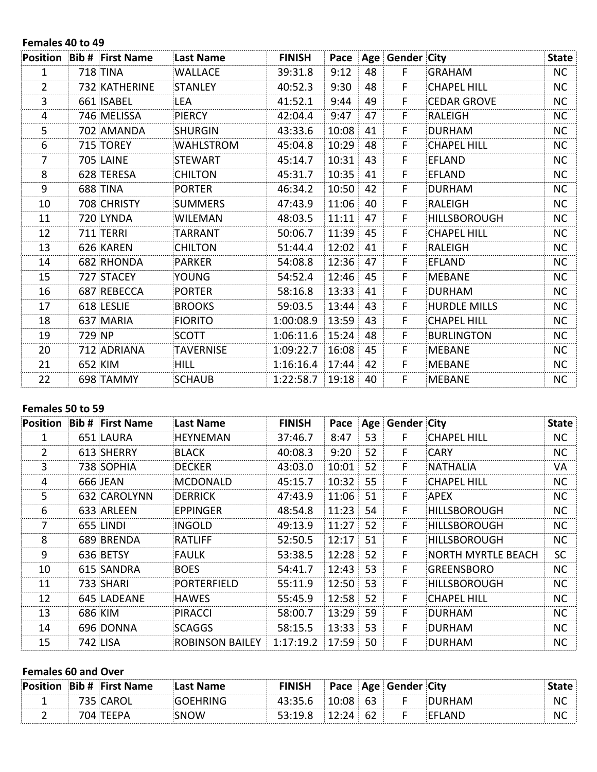#### Females 40 to 49

|                |        | <b>Position Bib # First Name</b> | Last Name        | <b>FINISH</b> |       |    | Pace   Age   Gender   City |                     | <b>State</b> |
|----------------|--------|----------------------------------|------------------|---------------|-------|----|----------------------------|---------------------|--------------|
| 1              |        | 718 TINA                         | <b>WALLACE</b>   | 39:31.8       | 9:12  | 48 | F.                         | <b>GRAHAM</b>       | NC           |
| $\overline{2}$ |        | 732 KATHERINE                    | STANLEY          | 40:52.3       | 9:30  | 48 | F                          | <b>CHAPEL HILL</b>  | NC.          |
| 3              |        | 661 ISABEL                       | LEA              | 41:52.1       | 9:44  | 49 | F.                         | <b>CEDAR GROVE</b>  | NC           |
| 4              |        | 746 MELISSA                      | <b>PIERCY</b>    | 42:04.4       | 9:47  | 47 | F.                         | RALEIGH             | NC.          |
| 5              |        | 702 AMANDA                       | SHURGIN          | 43:33.6       | 10:08 | 41 | F                          | <b>DURHAM</b>       | NC           |
| 6              |        | 715 TOREY                        | <b>WAHLSTROM</b> | 45:04.8       | 10:29 | 48 | F.                         | <b>CHAPEL HILL</b>  | <b>NC</b>    |
| 7              |        | 705 LAINE                        | <b>STEWART</b>   | 45:14.7       | 10:31 | 43 | F.                         | <b>EFLAND</b>       | NC           |
| 8              |        | 628 TERESA                       | <b>CHILTON</b>   | 45:31.7       | 10:35 | 41 | F.                         | <b>EFLAND</b>       | NC.          |
| 9              |        | <b>688 TINA</b>                  | <b>PORTER</b>    | 46:34.2       | 10:50 | 42 | F.                         | <b>DURHAM</b>       | NC           |
| 10             |        | 708 CHRISTY                      | <b>SUMMERS</b>   | 47:43.9       | 11:06 | 40 | F                          | <b>RALEIGH</b>      | NC.          |
| 11             |        | 720 LYNDA                        | <b>WILEMAN</b>   | 48:03.5       | 11:11 | 47 | F.                         | <b>HILLSBOROUGH</b> | NC           |
| 12             |        | 711 TERRI                        | TARRANT          | 50:06.7       | 11:39 | 45 | F.                         | <b>CHAPEL HILL</b>  | NC.          |
| 13             |        | 626 KAREN                        | <b>CHILTON</b>   | 51:44.4       | 12:02 | 41 | F                          | RALEIGH             | <b>NC</b>    |
| 14             |        | 682 RHONDA                       | PARKER           | 54:08.8       | 12:36 | 47 | F.                         | <b>EFLAND</b>       | NC.          |
| 15             |        | 727 STACEY                       | <b>YOUNG</b>     | 54:52.4       | 12:46 | 45 | F.                         | <b>MEBANE</b>       | NC.          |
| 16             |        | 687 REBECCA                      | <b>PORTER</b>    | 58:16.8       | 13:33 | 41 | F.                         | <b>DURHAM</b>       | <b>NC</b>    |
| 17             |        | 618 LESLIE                       | <b>BROOKS</b>    | 59:03.5       | 13:44 | 43 | F                          | <b>HURDLE MILLS</b> | <b>NC</b>    |
| 18             |        | 637 MARIA                        | <b>FIORITO</b>   | 1:00:08.9     | 13:59 | 43 | F                          | <b>CHAPEL HILL</b>  | <b>NC</b>    |
| 19             | 729 NP |                                  | <b>SCOTT</b>     | 1:06:11.6     | 15:24 | 48 | F.                         | <b>BURLINGTON</b>   | <b>NC</b>    |
| 20             |        | 712 ADRIANA                      | <b>TAVERNISE</b> | 1:09:22.7     | 16:08 | 45 | F.                         | <b>MEBANE</b>       | NC.          |
| 21             |        | 652 KIM                          | <b>HILL</b>      | 1:16:16.4     | 17:44 | 42 | F.                         | <b>MEBANE</b>       | NC.          |
| 22             |        | 698 TAMMY                        | <b>SCHAUB</b>    | 1:22:58.7     | 19:18 | 40 | F                          | <b>MEBANE</b>       | NC           |

### Females 50 to 59

|    | <b>Position Bib # First Name</b> | Last Name              | <b>FINISH</b> | Pace  |    | Age Gender City |                     | <b>State</b> |
|----|----------------------------------|------------------------|---------------|-------|----|-----------------|---------------------|--------------|
|    | 651 LAURA                        | <b>HEYNEMAN</b>        | 37:46.7       | 8:47  | 53 | F               | <b>CHAPEL HILL</b>  | NC.          |
| 2  | 613 SHERRY                       | <b>BLACK</b>           | 40:08.3       | 9:20  | 52 | F               | <b>CARY</b>         | <b>NC</b>    |
| 3  | 738 SOPHIA                       | <b>DECKER</b>          | 43:03.0       | 10:01 | 52 | F               | <b>NATHALIA</b>     | VA           |
| 4  | 666 JEAN                         | MCDONALD               | 45:15.7       | 10:32 | 55 | F.              | <b>CHAPEL HILL</b>  | <b>NC</b>    |
| 5. | 632 CAROLYNN                     | DERRICK                | 47:43.9       | 11:06 | 51 | F.              | <b>APEX</b>         | <b>NC</b>    |
| 6  | 633 ARLEEN                       | EPPINGER               | 48:54.8       | 11:23 | 54 | F.              | HILLSBOROUGH        | <b>NC</b>    |
| 7  | 655 LINDI                        | INGOLD                 | 49:13.9       | 11:27 | 52 | F               | <b>HILLSBOROUGH</b> | <b>NC</b>    |
| 8  | 689 BRENDA                       | RATLIFF                | 52:50.5       | 12:17 | 51 | F               | <b>HILLSBOROUGH</b> | <b>NC</b>    |
| 9  | 636 BETSY                        | <b>FAULK</b>           | 53:38.5       | 12:28 | 52 | F.              | NORTH MYRTLE BEACH  | <b>SC</b>    |
| 10 | 615 SANDRA                       | <b>BOES</b>            | 54:41.7       | 12:43 | 53 | F               | <b>GREENSBORO</b>   | <b>NC</b>    |
| 11 | 733 SHARI                        | <b>PORTERFIELD</b>     | 55:11.9       | 12:50 | 53 | F               | <b>HILLSBOROUGH</b> | <b>NC</b>    |
| 12 | 645 LADEANE                      | <b>HAWES</b>           | 55:45.9       | 12:58 | 52 | F.              | <b>CHAPEL HILL</b>  | <b>NC</b>    |
| 13 | 686 KIM                          | <b>PIRACCI</b>         | 58:00.7       | 13:29 | 59 | F               | <b>DURHAM</b>       | <b>NC</b>    |
| 14 | 696 DONNA                        | <b>SCAGGS</b>          | 58:15.5       | 13:33 | 53 | F               | <b>DURHAM</b>       | <b>NC</b>    |
| 15 | 742 LISA                         | <b>ROBINSON BAILEY</b> | 1:17:19.2     | 17:59 | 50 | F               | <b>DURHAM</b>       | <b>NC</b>    |

### **Females 60 and Over**

| ∶P∩si |   | <b>Bib # First Name</b> | Name |         | ace |    | City |           |
|-------|---|-------------------------|------|---------|-----|----|------|-----------|
|       | . |                         |      | TJ.JJ.V |     | 63 |      | <b>NC</b> |
|       |   |                         | ) W  | - -     |     |    | ΔNΙ  | <b>NC</b> |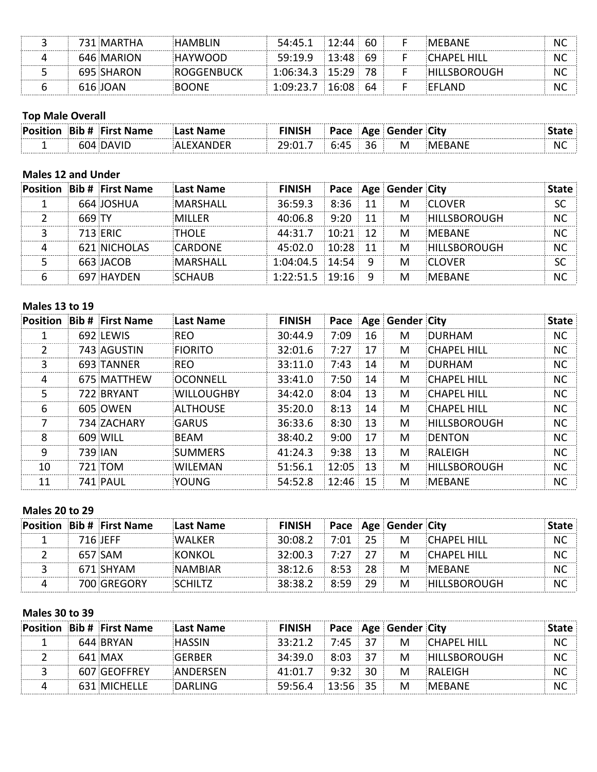| ∴l\v.      |                 |            | ЮU          | MEBANE | N  |
|------------|-----------------|------------|-------------|--------|----|
| 646 MARION | <b>AVMILIOU</b> | :19.9      | 69          | ∵ HIL∟ | N  |
| 695 SHARON | ROGGENBUCK      | 1:06:34.3  |             |        | N  |
| ∩∆∧<br>616 |                 | $1.19.7 -$ | 16:08<br>64 | ΔNΓ    | NI |

### **Top Male Overall**

| ∶Posi | <b>Bib # First Name</b> |  | ∟סבי<br>. . |   | City |           |
|-------|-------------------------|--|-------------|---|------|-----------|
|       |                         |  | 36          | M |      | <b>NC</b> |

### **Males 12 and Under**

|        | <b>Position Bib # First Name</b> | Last Name     | FINISH               |                | <b>Pace Age Gender City</b> |                                |  |
|--------|----------------------------------|---------------|----------------------|----------------|-----------------------------|--------------------------------|--|
|        | 664 JOSHUA                       | MARSHALL      | 36:59.3              | $-8.36 \pm 11$ | M                           | <b>CLOVER</b>                  |  |
| 669 TY |                                  | MILLER        |                      |                |                             | 40:06.8 9:20 11 M HILLSBOROUGH |  |
|        | <b>713 FRIC</b>                  | THOI F        | $44:31.7$ 10:21 12   |                | M                           | <b>MERANE</b>                  |  |
|        | 621 NICHOLAS                     | CARDONE       | $45:02.0$ $10:28$ 11 |                | <b>M</b>                    | <b>HILLSBOROUGH</b>            |  |
|        | 663 JACOB                        | MARSHALL      | $1:04:04.5$ 14:54 9  |                | M                           | <b>CLOVER</b>                  |  |
|        | 697 HAYDEN                       | <b>SCHAUR</b> | $1:22:51.5$ 19:16 9  |                | M                           | MERANE                         |  |

### **Males 13 to 19**

| Position | <b>Bib # First Name</b> | Last Name         | <b>FINISH</b> |          |    | Pace   Age   Gender   City |                     | <b>State</b> |
|----------|-------------------------|-------------------|---------------|----------|----|----------------------------|---------------------|--------------|
|          | 692 LFWIS               | RFO               | 30:44.9       | 7:09     | 16 | М                          | DURHAM              | <b>NC</b>    |
|          | 743 AGUSTIN             | FIORITO           | 32:01.6       | 7:27     | 17 | M                          | CHAPFL HILL         | NC.          |
| 3        | 693 TANNER              | <b>RFO</b>        | 33:11.0       | 7:43     | 14 | M                          | <b>DURHAM</b>       | <b>NC</b>    |
| 4        | 675 MATTHEW             | OCONNELL          | 33:41.0       | 7:50     | 14 | M                          | CHAPFL HILL         | <b>NC</b>    |
| 5        | 722 BRYANT              | <b>WILLOUGHBY</b> | 34:42.0       | 8:04     | 13 | M                          | <b>CHAPFL HILL</b>  | <b>NC</b>    |
| 6        | 605 OWEN                | ALTHOUSE          | 35:20.0       | 8:13     | 14 | M                          | CHAPFL HILL         | <b>NC</b>    |
|          | 734 ZACHARY             | GARUS             | 36:33.6       | 8:30     | 13 | M                          | <b>HILLSBOROUGH</b> | <b>NC</b>    |
| 8        | 609 WILL                | BFAM              | 38:40.2       | 9:00     | 17 | M                          | <b>DENTON</b>       | <b>NC</b>    |
| q        | 739 IAN                 | <b>SUMMERS</b>    | 41:24.3       | 9:38     | 13 | М                          | RALFIGH             | <b>NC</b>    |
| 10       | 721 TOM                 | WILFMAN           | 51:56.1       | 12:05    | 13 | M                          | HILLSBOROUGH        | <b>NC</b>    |
| 11       | 741 PAUL                | <b>YOUNG</b>      | 54:52.8       | 12:46:15 |    | M                          | <b>MFBANF</b>       | NС           |

### **Males 20 to 29**

and the state of the state.

|           | <b>Position Bib # First Name</b> | Last Name      | <b>FINISH Pace Age Gender City</b> |  |                                 |    |
|-----------|----------------------------------|----------------|------------------------------------|--|---------------------------------|----|
| -716 IFFF |                                  | <b>WAI KFR</b> |                                    |  | $30:08.2$ 7:01 25 M CHAPFL HILL |    |
|           | 657 SAM                          | <b>KONKOL</b>  | $32:00.3$ 7:27 27                  |  | M CHAPEL HILL                   | NC |
|           | 671 SHYAM                        | <b>NAMBIAR</b> | 38:12.6 8:53 28 M MEBANE           |  |                                 |    |
|           | 700 GRFGORY                      | <b>SCHILTZ</b> |                                    |  |                                 | NC |

## **Males 30 to 39**

|  | <b>Position Bib # First Name</b> | <b>Last Name</b> | <b>FINISH Pace Age Gender City</b> |  |                                 |    |
|--|----------------------------------|------------------|------------------------------------|--|---------------------------------|----|
|  | 644 BRYAN                        |                  |                                    |  | $33:21.2$ 7:45 37 M CHAPEL HILL |    |
|  | 641 MAX                          | GERBER           |                                    |  | 34:39.0 8:03 37 M HILLSBOROUGH  | ΝC |
|  | 607 GFOFFRFY                     | ANDERSEN         | $41:01.7$ 9:32 30 M                |  | RAI FIGH                        |    |
|  | 631 MICHELLE                     | <b>DARLING</b>   | 59:56.4 13:56 35 M MEBANE          |  |                                 |    |